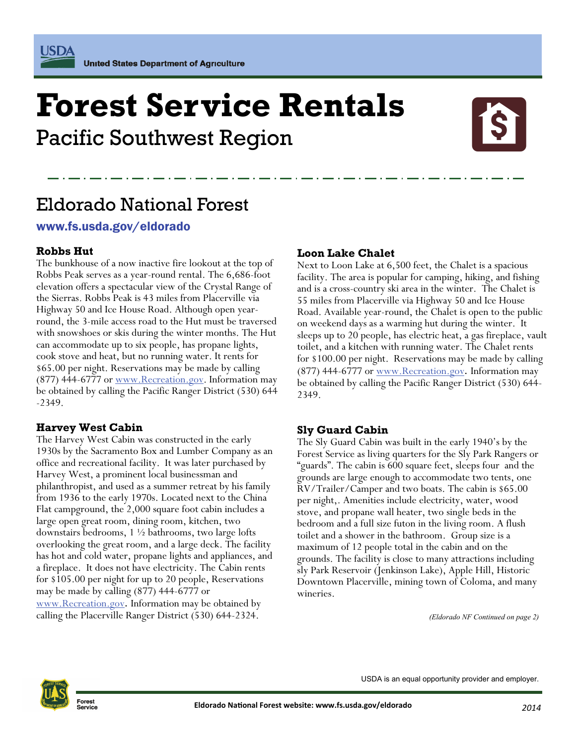# # **Forest Service Rentals**

Pacific Southwest Region



# Eldorado National Forest

### www.fs.usda.gov/eldorado

### **Robbs Hut**

The bunkhouse of a now inactive fire lookout at the top of Robbs Peak serves as a year-round rental. The 6,686-foot elevation offers a spectacular view of the Crystal Range of the Sierras. Robbs Peak is 43 miles from Placerville via Highway 50 and Ice House Road. Although open yearround, the 3-mile access road to the Hut must be traversed with snowshoes or skis during the winter months. The Hut can accommodate up to six people, has propane lights, cook stove and heat, but no running water. It rents for \$65.00 per night. Reservations may be made by calling  $(877)$  444-6777 or [www.Recreation.gov](http://www.Recreation.gov). Information may be obtained by calling the Pacific Ranger District (530) 644 -2349.

### **Harvey West Cabin**

The Harvey West Cabin was constructed in the early 1930s by the Sacramento Box and Lumber Company as an office and recreational facility. It was later purchased by Harvey West, a prominent local businessman and philanthropist, and used as a summer retreat by his family from 1936 to the early 1970s. Located next to the China Flat campground, the 2,000 square foot cabin includes a large open great room, dining room, kitchen, two downstairs bedrooms, 1 ½ bathrooms, two large lofts overlooking the great room, and a large deck. The facility has hot and cold water, propane lights and appliances, and a fireplace. It does not have electricity. The Cabin rents for \$105.00 per night for up to 20 people, Reservations may be made by calling (877) 444-6777 or [www.Recreation.gov](http://www.Recreation.gov). Information may be obtained by calling the Placerville Ranger District (530) 644-2324.

### **Loon Lake Chalet**

Next to Loon Lake at 6,500 feet, the Chalet is a spacious facility. The area is popular for camping, hiking, and fishing and is a cross-country ski area in the winter. The Chalet is 55 miles from Placerville via Highway 50 and Ice House Road. Available year-round, the Chalet is open to the public on weekend days as a warming hut during the winter. It sleeps up to 20 people, has electric heat, a gas fireplace, vault toilet, and a kitchen with running water. The Chalet rents for \$100.00 per night. Reservations may be made by calling (877) 444-6777 or [www.Recreation.gov](http://www.Recreation.gov). Information may be obtained by calling the Pacific Ranger District (530) 644- 2349.

### **Sly Guard Cabin**

The Sly Guard Cabin was built in the early 1940's by the Forest Service as living quarters for the Sly Park Rangers or "guards". The cabin is 600 square feet, sleeps four and the grounds are large enough to accommodate two tents, one RV/Trailer/Camper and two boats. The cabin is \$65.00 per night,. Amenities include electricity, water, wood stove, and propane wall heater, two single beds in the bedroom and a full size futon in the living room. A flush toilet and a shower in the bathroom. Group size is a maximum of 12 people total in the cabin and on the grounds. The facility is close to many attractions including sly Park Reservoir (Jenkinson Lake), Apple Hill, Historic Downtown Placerville, mining town of Coloma, and many wineries.

*(Eldorado NF Continued on page 2)* 



**Forest** 

USDA is an equal opportunity provider and employer.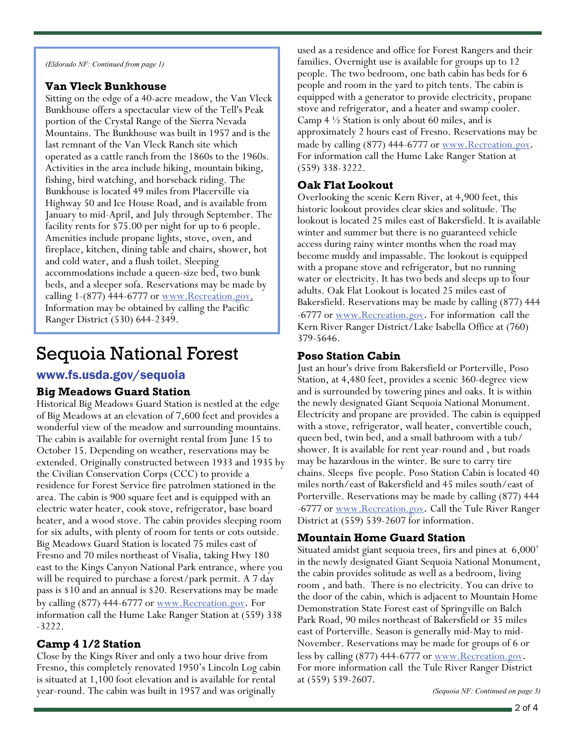*(Eldorado NF: Continued from page 1)* 

#### **Van Vleck Bunkhouse**

Sitting on the edge of a 40-acre meadow, the Van Vleck Bunkhouse offers a spectacular view of the Tell's Peak portion of the Crystal Range of the Sierra Nevada Mountains. The Bunkhouse was built in 1957 and is the last remnant of the Van Vleck Ranch site which operated as a cattle ranch from the 1860s to the 1960s. Activities in the area include hiking, mountain biking, fishing, bird watching, and horseback riding. The Bunkhouse is located 49 miles from Placerville via Highway 50 and Ice House Road, and is available from January to mid-April, and July through September. The facility rents for \$75.00 per night for up to 6 people. Amenities include propane lights, stove, oven, and fireplace, kitchen, dining table and chairs, shower, hot and cold water, and a flush toilet. Sleeping accommodations include a queen-size bed, two bunk beds, and a sleeper sofa. Reservations may be made by calling 1-(877) 444-6777 or [www.Recreation.gov.](http://www.Recreation.gov) Information may be obtained by calling the Pacific Ranger District (530) 644-2349.

# Sequoia National Forest

### www.fs.usda.gov/sequoia

### **Big Meadows Guard Station**

Historical Big Meadows Guard Station is nestled at the edge of Big Meadows at an elevation of 7,600 feet and provides a wonderful view of the meadow and surrounding mountains. The cabin is available for overnight rental from June 15 to October 15. Depending on weather, reservations may be extended. Originally constructed between 1933 and 1935 by the Civilian Conservation Corps (CCC) to provide a residence for Forest Service fire patrolmen stationed in the area. The cabin is 900 square feet and is equipped with an electric water heater, cook stove, refrigerator, base board heater, and a wood stove. The cabin provides sleeping room for six adults, with plenty of room for tents or cots outside. Big Meadows Guard Station is located 75 miles east of Fresno and 70 miles northeast of Visalia, taking Hwy 180 east to the Kings Canyon National Park entrance, where you will be required to purchase a forest/park permit. A 7 day pass is \$10 and an annual is \$20. Reservations may be made by calling (877) 444-6777 or [www.Recreation.gov](http://www.Recreation.gov). For information call the Hume Lake Ranger Station at (559) 338 -3222.

### **Camp 4 1/2 Station**

Close by the Kings River and only a two hour drive from Fresno, this completely renovated 1950's Lincoln Log cabin is situated at 1,100 foot elevation and is available for rental year-round. The cabin was built in 1957 and was originally

used as a residence and office for Forest Rangers and their families. Overnight use is available for groups up to 12 people. The two bedroom, one bath cabin has beds for 6 people and room in the yard to pitch tents. The cabin is equipped with a generator to provide electricity, propane stove and refrigerator, and a heater and swamp cooler. Camp 4 ½ Station is only about 60 miles, and is approximately 2 hours east of Fresno. Reservations may be made by calling (877) 444-6777 or [www.Recreation.gov](http://www.Recreation.gov). For information call the Hume Lake Ranger Station at (559) 338-3222.

### **Oak Flat Lookout**

Overlooking the scenic Kern River, at 4,900 feet, this historic lookout provides clear skies and solitude. The lookout is located 25 miles east of Bakersfield. It is available winter and summer but there is no guaranteed vehicle access during rainy winter months when the road may become muddy and impassable. The lookout is equipped with a propane stove and refrigerator, but no running water or electricity. It has two beds and sleeps up to four adults. Oak Flat Lookout is located 25 miles east of Bakersfield. Reservations may be made by calling (877) 444 -6777 or [www.Recreation.gov](http://www.Recreation.gov). For information call the Kern River Ranger District/Lake Isabella Office at (760) 379-5646.

### **Poso Station Cabin**

Just an hour's drive from Bakersfield or Porterville, Poso Station, at 4,480 feet, provides a scenic 360-degree view and is surrounded by towering pines and oaks. It is within the newly designated Giant Sequoia National Monument. Electricity and propane are provided. The cabin is equipped with a stove, refrigerator, wall heater, convertible couch, queen bed, twin bed, and a small bathroom with a tub/ shower. It is available for rent year-round and , but roads may be hazardous in the winter. Be sure to carry tire chains. Sleeps five people. Poso Station Cabin is located 40 miles north/east of Bakersfield and 45 miles south/east of Porterville. Reservations may be made by calling (877) 444 -6777 or [www.Recreation.gov](http://www.Recreation.gov). Call the Tule River Ranger District at (559) 539-2607 for information.

### **Mountain Home Guard Station**

Situated amidst giant sequoia trees, firs and pines at 6,000' in the newly designated Giant Sequoia National Monument, the cabin provides solitude as well as a bedroom, living room , and bath. There is no electricity. You can drive to the door of the cabin, which is adjacent to Mountain Home Demonstration State Forest east of Springville on Balch Park Road, 90 miles northeast of Bakersfield or 35 miles east of Porterville. Season is generally mid-May to mid-November. Reservations may be made for groups of 6 or less by calling (877) 444-6777 or [www.Recreation.gov](http://www.Recreation.gov). For more information call the Tule River Ranger District at (559) 539-2607.

*(Sequoia NF: Continued on page 3)*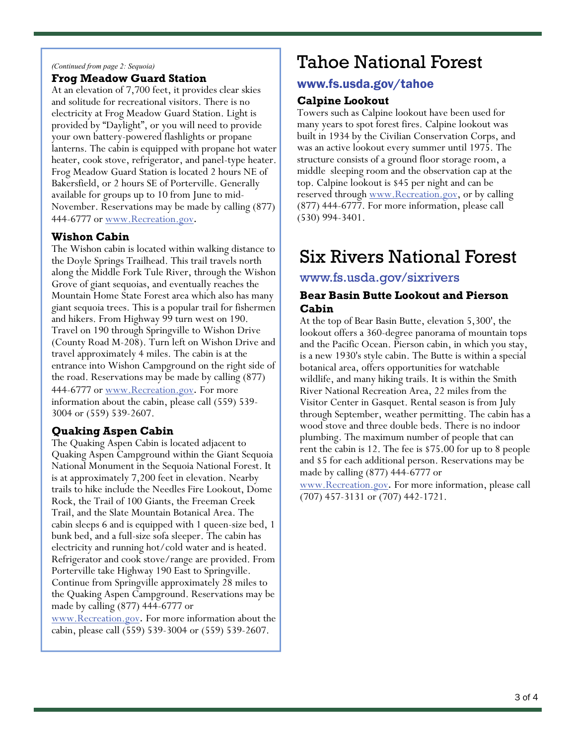#### *(Continued from page 2: Sequoia)*

#### **Frog Meadow Guard Station**

At an elevation of 7,700 feet, it provides clear skies and solitude for recreational visitors. There is no electricity at Frog Meadow Guard Station. Light is provided by "Daylight", or you will need to provide your own battery-powered flashlights or propane lanterns. The cabin is equipped with propane hot water heater, cook stove, refrigerator, and panel-type heater. Frog Meadow Guard Station is located 2 hours NE of Bakersfield, or 2 hours SE of Porterville. Generally available for groups up to 10 from June to mid-November. Reservations may be made by calling (877) 444-6777 or [www.Recreation.gov](http://www.Recreation.gov).

#### **Wishon Cabin**

The Wishon cabin is located within walking distance to the Doyle Springs Trailhead. This trail travels north along the Middle Fork Tule River, through the Wishon Grove of giant sequoias, and eventually reaches the Mountain Home State Forest area which also has many giant sequoia trees. This is a popular trail for fishermen and hikers. From Highway 99 turn west on 190. Travel on 190 through Springville to Wishon Drive (County Road M-208). Turn left on Wishon Drive and travel approximately 4 miles. The cabin is at the entrance into Wishon Campground on the right side of the road. Reservations may be made by calling (877) 444-6777 or [www.Recreation.gov](http://www.Recreation.gov). For more information about the cabin, please call (559) 539- 3004 or (559) 539-2607.

### **Quaking Aspen Cabin**

The Quaking Aspen Cabin is located adjacent to Quaking Aspen Campground within the Giant Sequoia National Monument in the Sequoia National Forest. It is at approximately 7,200 feet in elevation. Nearby trails to hike include the Needles Fire Lookout, Dome Rock, the Trail of 100 Giants, the Freeman Creek Trail, and the Slate Mountain Botanical Area. The cabin sleeps 6 and is equipped with 1 queen-size bed, 1 bunk bed, and a full-size sofa sleeper. The cabin has electricity and running hot/cold water and is heated. Refrigerator and cook stove/range are provided. From Porterville take Highway 190 East to Springville. Continue from Springville approximately 28 miles to the Quaking Aspen Campground. Reservations may be made by calling (877) 444-6777 or

[www.Recreation.gov](http://www.Recreation.gov). For more information about the cabin, please call (559) 539-3004 or (559) 539-2607.

## Tahoe National Forest

### www.fs.usda.gov/tahoe

#### **Calpine Lookout**

Towers such as Calpine lookout have been used for many years to spot forest fires. Calpine lookout was built in 1934 by the Civilian Conservation Corps, and was an active lookout every summer until 1975. The structure consists of a ground floor storage room, a middle sleeping room and the observation cap at the top. Calpine lookout is \$45 per night and can be reserved through <u>[www.Recreation.gov](http://www.Recreation.gov)</u>, or by calling (877) 444-6777. For more information, please call (530) 994-3401.

### Six Rivers National Forest

### www.fs.usda.gov/sixrivers

#### **Bear Basin Butte Lookout and Pierson Cabin**

At the top of Bear Basin Butte, elevation 5,300', the lookout offers a 360-degree panorama of mountain tops and the Pacific Ocean. Pierson cabin, in which you stay, is a new 1930's style cabin. The Butte is within a special botanical area, offers opportunities for watchable wildlife, and many hiking trails. It is within the Smith River National Recreation Area, 22 miles from the Visitor Center in Gasquet. Rental season is from July through September, weather permitting. The cabin has a wood stove and three double beds. There is no indoor plumbing. The maximum number of people that can rent the cabin is 12. The fee is \$75.00 for up to 8 people and \$5 for each additional person. Reservations may be made by calling (877) 444-6777 or

[www.Recreation.gov](http://www.Recreation.gov). For more information, please call (707) 457-3131 or (707) 442-1721.